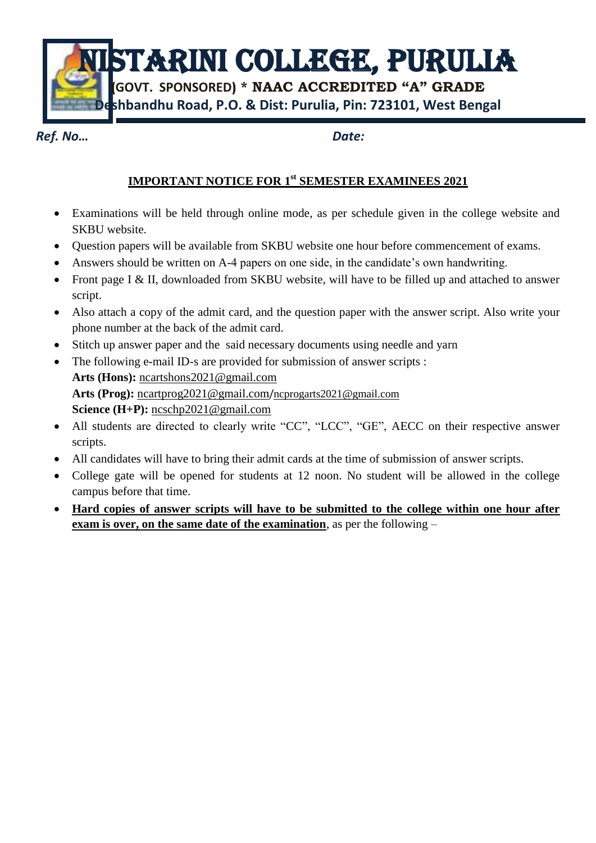STARINI COLLEGE, PURULIA

**(GOVT. SPONSORED) \* NAAC ACCREDITED "A" GRADE Deshbandhu Road, P.O. & Dist: Purulia, Pin: 723101, West Bengal**

*Ref. No… Date:*

## **IMPORTANT NOTICE FOR 1 st SEMESTER EXAMINEES 2021**

- Examinations will be held through online mode, as per schedule given in the college website and SKBU website.
- Question papers will be available from SKBU website one hour before commencement of exams.
- Answers should be written on A-4 papers on one side, in the candidate's own handwriting.
- Front page I & II, downloaded from SKBU website, will have to be filled up and attached to answer script.
- Also attach a copy of the admit card, and the question paper with the answer script. Also write your phone number at the back of the admit card.
- Stitch up answer paper and the said necessary documents using needle and yarn
- The following e-mail ID-s are provided for submission of answer scripts : **Arts (Hons):** [ncartshons2021@gmail.com](mailto:ncartshons2021@gmail.com) **Arts (Prog):** [ncartprog2021@gmail.com](mailto:ncartprog2021@gmail.com)/ncprogarts2021@gmail.com Science (H+P): [ncschp2021@gmail.com](mailto:ncschp2021@gmail.com)
- All students are directed to clearly write "CC", "LCC", "GE", AECC on their respective answer scripts.
- All candidates will have to bring their admit cards at the time of submission of answer scripts.
- College gate will be opened for students at 12 noon. No student will be allowed in the college campus before that time.
- **Hard copies of answer scripts will have to be submitted to the college within one hour after exam is over, on the same date of the examination**, as per the following –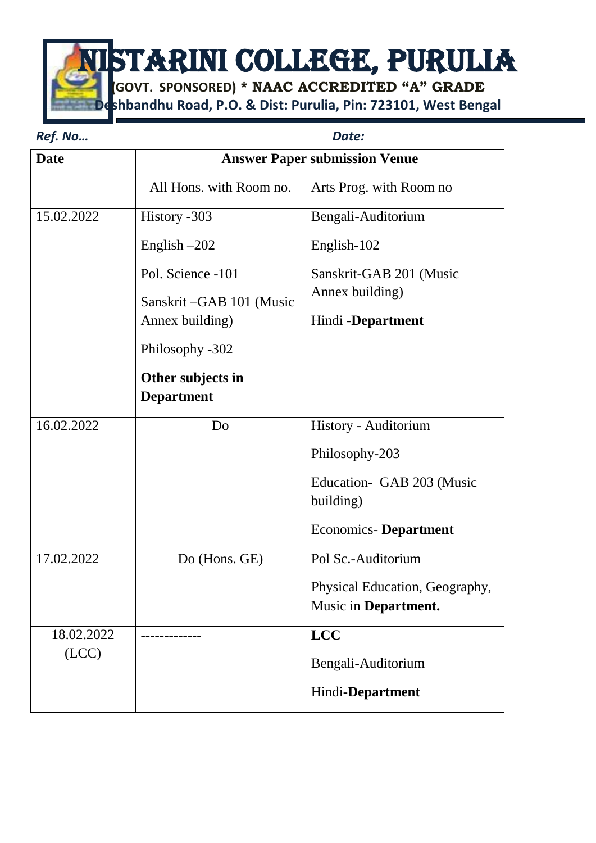NISTARINI COLLEGE, PURULIA

**(GOVT. SPONSORED) \* NAAC ACCREDITED "A" GRADE Deshbandhu Road, P.O. & Dist: Purulia, Pin: 723101, West Bengal**

| Ref. No     | Date:                                |                                         |
|-------------|--------------------------------------|-----------------------------------------|
| <b>Date</b> | <b>Answer Paper submission Venue</b> |                                         |
|             | All Hons. with Room no.              | Arts Prog. with Room no                 |
| 15.02.2022  | History -303                         | Bengali-Auditorium                      |
|             | English $-202$                       | English-102                             |
|             | Pol. Science -101                    | Sanskrit-GAB 201 (Music                 |
|             | Sanskrit-GAB 101 (Music              | Annex building)                         |
|             | Annex building)                      | Hindi -Department                       |
|             | Philosophy -302                      |                                         |
|             | Other subjects in                    |                                         |
|             | <b>Department</b>                    |                                         |
| 16.02.2022  | Do                                   | History - Auditorium                    |
|             |                                      | Philosophy-203                          |
|             |                                      | Education - GAB 203 (Music<br>building) |
|             |                                      | <b>Economics-Department</b>             |
| 17.02.2022  | Do (Hons. GE)                        | Pol Sc.-Auditorium                      |
|             |                                      | Physical Education, Geography,          |
|             |                                      | Music in Department.                    |
| 18.02.2022  |                                      | <b>LCC</b>                              |
| (ICC)       |                                      | Bengali-Auditorium                      |
|             |                                      | Hindi-Department                        |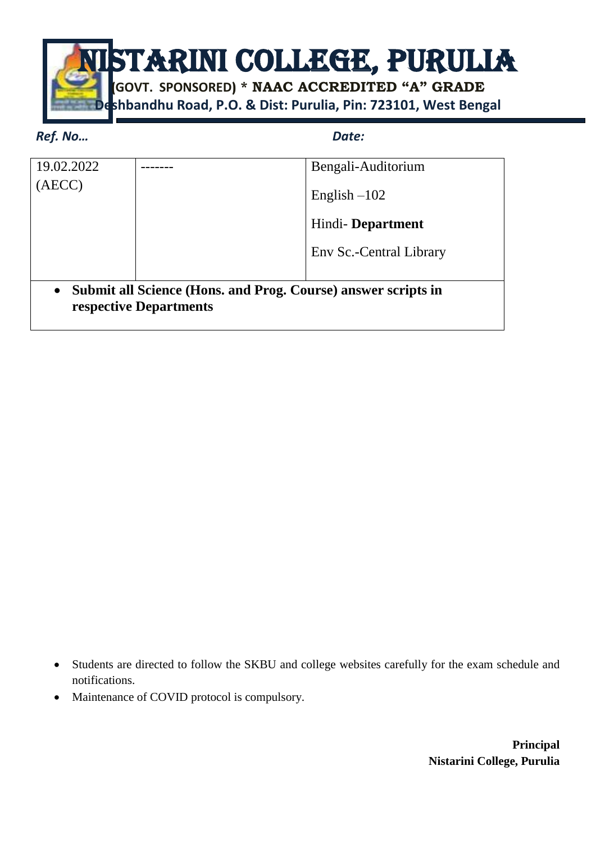

## *Ref. No… Date:*

| 19.02.2022                                                                                           |  | Bengali-Auditorium      |
|------------------------------------------------------------------------------------------------------|--|-------------------------|
|                                                                                                      |  | English $-102$          |
|                                                                                                      |  | Hindi-Department        |
|                                                                                                      |  | Env Sc.-Central Library |
|                                                                                                      |  |                         |
| Submit all Science (Hons. and Prog. Course) answer scripts in<br>$\bullet$<br>respective Departments |  |                         |

- Students are directed to follow the SKBU and college websites carefully for the exam schedule and notifications.
- Maintenance of COVID protocol is compulsory.